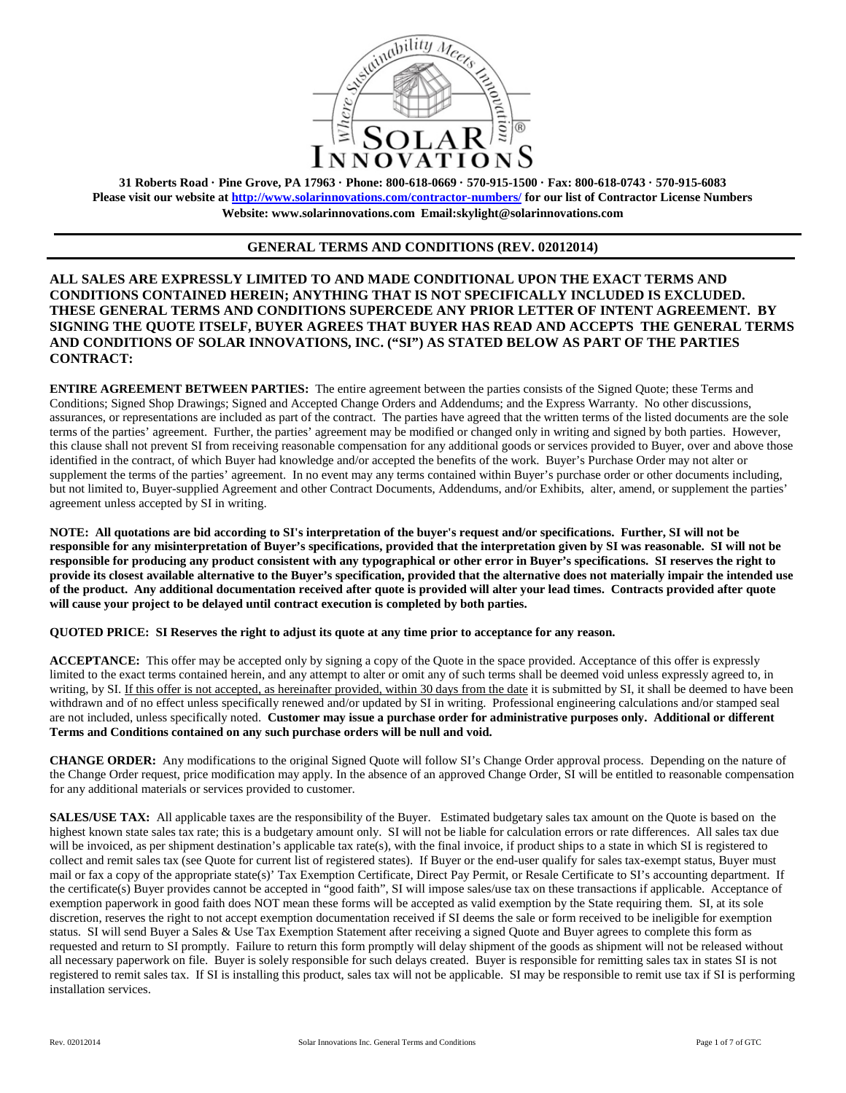

**31 Roberts Road · Pine Grove, PA 17963 · Phone: 800-618-0669 · 570-915-1500 · Fax: 800-618-0743 · 570-915-6083 Please visit our website at<http://www.solarinnovations.com/contractor-numbers/> for our list of Contractor License Numbers Website: [www.solarinnovations.com](http://www.solarinnovations.com/) Email:skylight@solarinnovations.com**

## **GENERAL TERMS AND CONDITIONS (REV. 02012014)**

**ALL SALES ARE EXPRESSLY LIMITED TO AND MADE CONDITIONAL UPON THE EXACT TERMS AND CONDITIONS CONTAINED HEREIN; ANYTHING THAT IS NOT SPECIFICALLY INCLUDED IS EXCLUDED. THESE GENERAL TERMS AND CONDITIONS SUPERCEDE ANY PRIOR LETTER OF INTENT AGREEMENT. BY SIGNING THE QUOTE ITSELF, BUYER AGREES THAT BUYER HAS READ AND ACCEPTS THE GENERAL TERMS AND CONDITIONS OF SOLAR INNOVATIONS, INC. ("SI") AS STATED BELOW AS PART OF THE PARTIES CONTRACT:**

**ENTIRE AGREEMENT BETWEEN PARTIES:** The entire agreement between the parties consists of the Signed Quote; these Terms and Conditions; Signed Shop Drawings; Signed and Accepted Change Orders and Addendums; and the Express Warranty. No other discussions, assurances, or representations are included as part of the contract. The parties have agreed that the written terms of the listed documents are the sole terms of the parties' agreement. Further, the parties' agreement may be modified or changed only in writing and signed by both parties. However, this clause shall not prevent SI from receiving reasonable compensation for any additional goods or services provided to Buyer, over and above those identified in the contract, of which Buyer had knowledge and/or accepted the benefits of the work. Buyer's Purchase Order may not alter or supplement the terms of the parties' agreement. In no event may any terms contained within Buyer's purchase order or other documents including, but not limited to, Buyer-supplied Agreement and other Contract Documents, Addendums, and/or Exhibits, alter, amend, or supplement the parties' agreement unless accepted by SI in writing.

**NOTE: All quotations are bid according to SI's interpretation of the buyer's request and/or specifications. Further, SI will not be responsible for any misinterpretation of Buyer's specifications, provided that the interpretation given by SI was reasonable. SI will not be responsible for producing any product consistent with any typographical or other error in Buyer's specifications. SI reserves the right to provide its closest available alternative to the Buyer's specification, provided that the alternative does not materially impair the intended use of the product. Any additional documentation received after quote is provided will alter your lead times. Contracts provided after quote will cause your project to be delayed until contract execution is completed by both parties.** 

**QUOTED PRICE: SI Reserves the right to adjust its quote at any time prior to acceptance for any reason.** 

**ACCEPTANCE:** This offer may be accepted only by signing a copy of the Quote in the space provided. Acceptance of this offer is expressly limited to the exact terms contained herein, and any attempt to alter or omit any of such terms shall be deemed void unless expressly agreed to, in writing, by SI. If this offer is not accepted, as hereinafter provided, within 30 days from the date it is submitted by SI, it shall be deemed to have been withdrawn and of no effect unless specifically renewed and/or updated by SI in writing. Professional engineering calculations and/or stamped seal are not included, unless specifically noted. **Customer may issue a purchase order for administrative purposes only. Additional or different Terms and Conditions contained on any such purchase orders will be null and void.**

**CHANGE ORDER:** Any modifications to the original Signed Quote will follow SI's Change Order approval process. Depending on the nature of the Change Order request, price modification may apply. In the absence of an approved Change Order, SI will be entitled to reasonable compensation for any additional materials or services provided to customer.

**SALES/USE TAX:** All applicable taxes are the responsibility of the Buyer. Estimated budgetary sales tax amount on the Quote is based on the highest known state sales tax rate; this is a budgetary amount only. SI will not be liable for calculation errors or rate differences. All sales tax due will be invoiced, as per shipment destination's applicable tax rate(s), with the final invoice, if product ships to a state in which SI is registered to collect and remit sales tax (see Quote for current list of registered states). If Buyer or the end-user qualify for sales tax-exempt status, Buyer must mail or fax a copy of the appropriate state(s)' Tax Exemption Certificate, Direct Pay Permit, or Resale Certificate to SI's accounting department. If the certificate(s) Buyer provides cannot be accepted in "good faith", SI will impose sales/use tax on these transactions if applicable. Acceptance of exemption paperwork in good faith does NOT mean these forms will be accepted as valid exemption by the State requiring them. SI, at its sole discretion, reserves the right to not accept exemption documentation received if SI deems the sale or form received to be ineligible for exemption status. SI will send Buyer a Sales & Use Tax Exemption Statement after receiving a signed Quote and Buyer agrees to complete this form as requested and return to SI promptly. Failure to return this form promptly will delay shipment of the goods as shipment will not be released without all necessary paperwork on file. Buyer is solely responsible for such delays created. Buyer is responsible for remitting sales tax in states SI is not registered to remit sales tax. If SI is installing this product, sales tax will not be applicable. SI may be responsible to remit use tax if SI is performing installation services.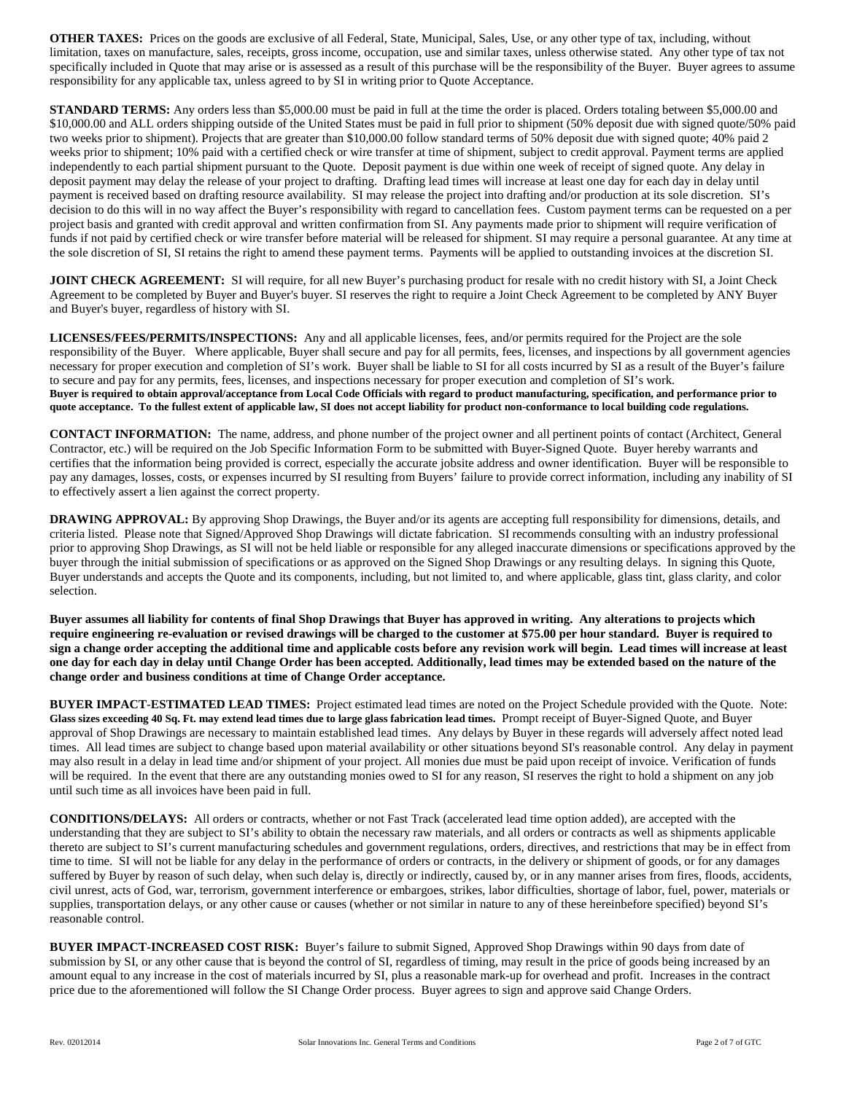**OTHER TAXES:** Prices on the goods are exclusive of all Federal, State, Municipal, Sales, Use, or any other type of tax, including, without limitation, taxes on manufacture, sales, receipts, gross income, occupation, use and similar taxes, unless otherwise stated. Any other type of tax not specifically included in Quote that may arise or is assessed as a result of this purchase will be the responsibility of the Buyer. Buyer agrees to assume responsibility for any applicable tax, unless agreed to by SI in writing prior to Quote Acceptance.

**STANDARD TERMS:** Any orders less than \$5,000.00 must be paid in full at the time the order is placed. Orders totaling between \$5,000.00 and \$10,000.00 and ALL orders shipping outside of the United States must be paid in full prior to shipment (50% deposit due with signed quote/50% paid two weeks prior to shipment). Projects that are greater than \$10,000.00 follow standard terms of 50% deposit due with signed quote; 40% paid 2 weeks prior to shipment; 10% paid with a certified check or wire transfer at time of shipment, subject to credit approval. Payment terms are applied independently to each partial shipment pursuant to the Quote. Deposit payment is due within one week of receipt of signed quote. Any delay in deposit payment may delay the release of your project to drafting. Drafting lead times will increase at least one day for each day in delay until payment is received based on drafting resource availability. SI may release the project into drafting and/or production at its sole discretion. SI's decision to do this will in no way affect the Buyer's responsibility with regard to cancellation fees. Custom payment terms can be requested on a per project basis and granted with credit approval and written confirmation from SI. Any payments made prior to shipment will require verification of funds if not paid by certified check or wire transfer before material will be released for shipment. SI may require a personal guarantee. At any time at the sole discretion of SI, SI retains the right to amend these payment terms. Payments will be applied to outstanding invoices at the discretion SI.

**JOINT CHECK AGREEMENT:** SI will require, for all new Buyer's purchasing product for resale with no credit history with SI, a Joint Check Agreement to be completed by Buyer and Buyer's buyer. SI reserves the right to require a Joint Check Agreement to be completed by ANY Buyer and Buyer's buyer, regardless of history with SI.

**LICENSES/FEES/PERMITS/INSPECTIONS:** Any and all applicable licenses, fees, and/or permits required for the Project are the sole responsibility of the Buyer. Where applicable, Buyer shall secure and pay for all permits, fees, licenses, and inspections by all government agencies necessary for proper execution and completion of SI's work. Buyer shall be liable to SI for all costs incurred by SI as a result of the Buyer's failure to secure and pay for any permits, fees, licenses, and inspections necessary for proper execution and completion of SI's work. **Buyer is required to obtain approval/acceptance from Local Code Officials with regard to product manufacturing, specification, and performance prior to quote acceptance. To the fullest extent of applicable law, SI does not accept liability for product non-conformance to local building code regulations.**

**CONTACT INFORMATION:** The name, address, and phone number of the project owner and all pertinent points of contact (Architect, General Contractor, etc.) will be required on the Job Specific Information Form to be submitted with Buyer-Signed Quote. Buyer hereby warrants and certifies that the information being provided is correct, especially the accurate jobsite address and owner identification. Buyer will be responsible to pay any damages, losses, costs, or expenses incurred by SI resulting from Buyers' failure to provide correct information, including any inability of SI to effectively assert a lien against the correct property.

**DRAWING APPROVAL:** By approving Shop Drawings, the Buyer and/or its agents are accepting full responsibility for dimensions, details, and criteria listed. Please note that Signed/Approved Shop Drawings will dictate fabrication. SI recommends consulting with an industry professional prior to approving Shop Drawings, as SI will not be held liable or responsible for any alleged inaccurate dimensions or specifications approved by the buyer through the initial submission of specifications or as approved on the Signed Shop Drawings or any resulting delays. In signing this Quote, Buyer understands and accepts the Quote and its components, including, but not limited to, and where applicable, glass tint, glass clarity, and color selection.

**Buyer assumes all liability for contents of final Shop Drawings that Buyer has approved in writing. Any alterations to projects which require engineering re-evaluation or revised drawings will be charged to the customer at \$75.00 per hour standard. Buyer is required to sign a change order accepting the additional time and applicable costs before any revision work will begin. Lead times will increase at least one day for each day in delay until Change Order has been accepted. Additionally, lead times may be extended based on the nature of the change order and business conditions at time of Change Order acceptance.**

**BUYER IMPACT**-**ESTIMATED LEAD TIMES:** Project estimated lead times are noted on the Project Schedule provided with the Quote. Note: **Glass sizes exceeding 40 Sq. Ft. may extend lead times due to large glass fabrication lead times.** Prompt receipt of Buyer-Signed Quote, and Buyer approval of Shop Drawings are necessary to maintain established lead times. Any delays by Buyer in these regards will adversely affect noted lead times. All lead times are subject to change based upon material availability or other situations beyond SI's reasonable control. Any delay in payment may also result in a delay in lead time and/or shipment of your project. All monies due must be paid upon receipt of invoice. Verification of funds will be required. In the event that there are any outstanding monies owed to SI for any reason, SI reserves the right to hold a shipment on any job until such time as all invoices have been paid in full.

**CONDITIONS/DELAYS:** All orders or contracts, whether or not Fast Track (accelerated lead time option added), are accepted with the understanding that they are subject to SI's ability to obtain the necessary raw materials, and all orders or contracts as well as shipments applicable thereto are subject to SI's current manufacturing schedules and government regulations, orders, directives, and restrictions that may be in effect from time to time. SI will not be liable for any delay in the performance of orders or contracts, in the delivery or shipment of goods, or for any damages suffered by Buyer by reason of such delay, when such delay is, directly or indirectly, caused by, or in any manner arises from fires, floods, accidents, civil unrest, acts of God, war, terrorism, government interference or embargoes, strikes, labor difficulties, shortage of labor, fuel, power, materials or supplies, transportation delays, or any other cause or causes (whether or not similar in nature to any of these hereinbefore specified) beyond SI's reasonable control.

**BUYER IMPACT-INCREASED COST RISK:** Buyer's failure to submit Signed, Approved Shop Drawings within 90 days from date of submission by SI, or any other cause that is beyond the control of SI, regardless of timing, may result in the price of goods being increased by an amount equal to any increase in the cost of materials incurred by SI, plus a reasonable mark-up for overhead and profit. Increases in the contract price due to the aforementioned will follow the SI Change Order process. Buyer agrees to sign and approve said Change Orders.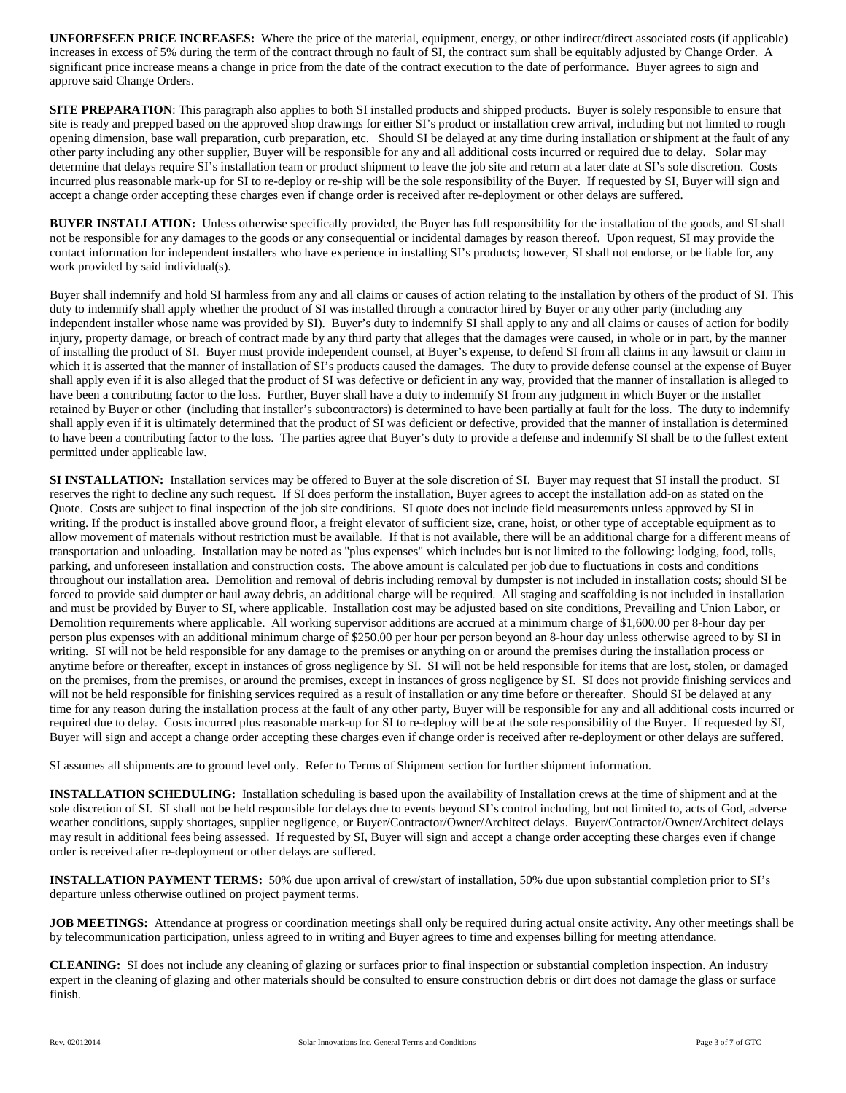**UNFORESEEN PRICE INCREASES:** Where the price of the material, equipment, energy, or other indirect/direct associated costs (if applicable) increases in excess of 5% during the term of the contract through no fault of SI, the contract sum shall be equitably adjusted by Change Order. A significant price increase means a change in price from the date of the contract execution to the date of performance. Buyer agrees to sign and approve said Change Orders.

**SITE PREPARATION:** This paragraph also applies to both SI installed products and shipped products. Buyer is solely responsible to ensure that site is ready and prepped based on the approved shop drawings for either SI's product or installation crew arrival, including but not limited to rough opening dimension, base wall preparation, curb preparation, etc. Should SI be delayed at any time during installation or shipment at the fault of any other party including any other supplier, Buyer will be responsible for any and all additional costs incurred or required due to delay. Solar may determine that delays require SI's installation team or product shipment to leave the job site and return at a later date at SI's sole discretion. Costs incurred plus reasonable mark-up for SI to re-deploy or re-ship will be the sole responsibility of the Buyer. If requested by SI, Buyer will sign and accept a change order accepting these charges even if change order is received after re-deployment or other delays are suffered.

**BUYER INSTALLATION:** Unless otherwise specifically provided, the Buyer has full responsibility for the installation of the goods, and SI shall not be responsible for any damages to the goods or any consequential or incidental damages by reason thereof. Upon request, SI may provide the contact information for independent installers who have experience in installing SI's products; however, SI shall not endorse, or be liable for, any work provided by said individual(s).

Buyer shall indemnify and hold SI harmless from any and all claims or causes of action relating to the installation by others of the product of SI. This duty to indemnify shall apply whether the product of SI was installed through a contractor hired by Buyer or any other party (including any independent installer whose name was provided by SI). Buyer's duty to indemnify SI shall apply to any and all claims or causes of action for bodily injury, property damage, or breach of contract made by any third party that alleges that the damages were caused, in whole or in part, by the manner of installing the product of SI. Buyer must provide independent counsel, at Buyer's expense, to defend SI from all claims in any lawsuit or claim in which it is asserted that the manner of installation of SI's products caused the damages. The duty to provide defense counsel at the expense of Buyer shall apply even if it is also alleged that the product of SI was defective or deficient in any way, provided that the manner of installation is alleged to have been a contributing factor to the loss. Further, Buyer shall have a duty to indemnify SI from any judgment in which Buyer or the installer retained by Buyer or other (including that installer's subcontractors) is determined to have been partially at fault for the loss. The duty to indemnify shall apply even if it is ultimately determined that the product of SI was deficient or defective, provided that the manner of installation is determined to have been a contributing factor to the loss. The parties agree that Buyer's duty to provide a defense and indemnify SI shall be to the fullest extent permitted under applicable law.

**SI INSTALLATION:** Installation services may be offered to Buyer at the sole discretion of SI. Buyer may request that SI install the product. SI reserves the right to decline any such request. If SI does perform the installation, Buyer agrees to accept the installation add-on as stated on the Quote. Costs are subject to final inspection of the job site conditions. SI quote does not include field measurements unless approved by SI in writing. If the product is installed above ground floor, a freight elevator of sufficient size, crane, hoist, or other type of acceptable equipment as to allow movement of materials without restriction must be available. If that is not available, there will be an additional charge for a different means of transportation and unloading. Installation may be noted as "plus expenses" which includes but is not limited to the following: lodging, food, tolls, parking, and unforeseen installation and construction costs. The above amount is calculated per job due to fluctuations in costs and conditions throughout our installation area. Demolition and removal of debris including removal by dumpster is not included in installation costs; should SI be forced to provide said dumpter or haul away debris, an additional charge will be required. All staging and scaffolding is not included in installation and must be provided by Buyer to SI, where applicable. Installation cost may be adjusted based on site conditions, Prevailing and Union Labor, or Demolition requirements where applicable. All working supervisor additions are accrued at a minimum charge of \$1,600.00 per 8-hour day per person plus expenses with an additional minimum charge of \$250.00 per hour per person beyond an 8-hour day unless otherwise agreed to by SI in writing. SI will not be held responsible for any damage to the premises or anything on or around the premises during the installation process or anytime before or thereafter, except in instances of gross negligence by SI. SI will not be held responsible for items that are lost, stolen, or damaged on the premises, from the premises, or around the premises, except in instances of gross negligence by SI. SI does not provide finishing services and will not be held responsible for finishing services required as a result of installation or any time before or thereafter. Should SI be delayed at any time for any reason during the installation process at the fault of any other party, Buyer will be responsible for any and all additional costs incurred or required due to delay. Costs incurred plus reasonable mark-up for SI to re-deploy will be at the sole responsibility of the Buyer. If requested by SI, Buyer will sign and accept a change order accepting these charges even if change order is received after re-deployment or other delays are suffered.

SI assumes all shipments are to ground level only. Refer to Terms of Shipment section for further shipment information.

**INSTALLATION SCHEDULING:** Installation scheduling is based upon the availability of Installation crews at the time of shipment and at the sole discretion of SI. SI shall not be held responsible for delays due to events beyond SI's control including, but not limited to, acts of God, adverse weather conditions, supply shortages, supplier negligence, or Buyer/Contractor/Owner/Architect delays. Buyer/Contractor/Owner/Architect delays may result in additional fees being assessed. If requested by SI, Buyer will sign and accept a change order accepting these charges even if change order is received after re-deployment or other delays are suffered.

**INSTALLATION PAYMENT TERMS:** 50% due upon arrival of crew/start of installation, 50% due upon substantial completion prior to SI's departure unless otherwise outlined on project payment terms.

**JOB MEETINGS:** Attendance at progress or coordination meetings shall only be required during actual onsite activity. Any other meetings shall be by telecommunication participation, unless agreed to in writing and Buyer agrees to time and expenses billing for meeting attendance.

**CLEANING:** SI does not include any cleaning of glazing or surfaces prior to final inspection or substantial completion inspection. An industry expert in the cleaning of glazing and other materials should be consulted to ensure construction debris or dirt does not damage the glass or surface finish.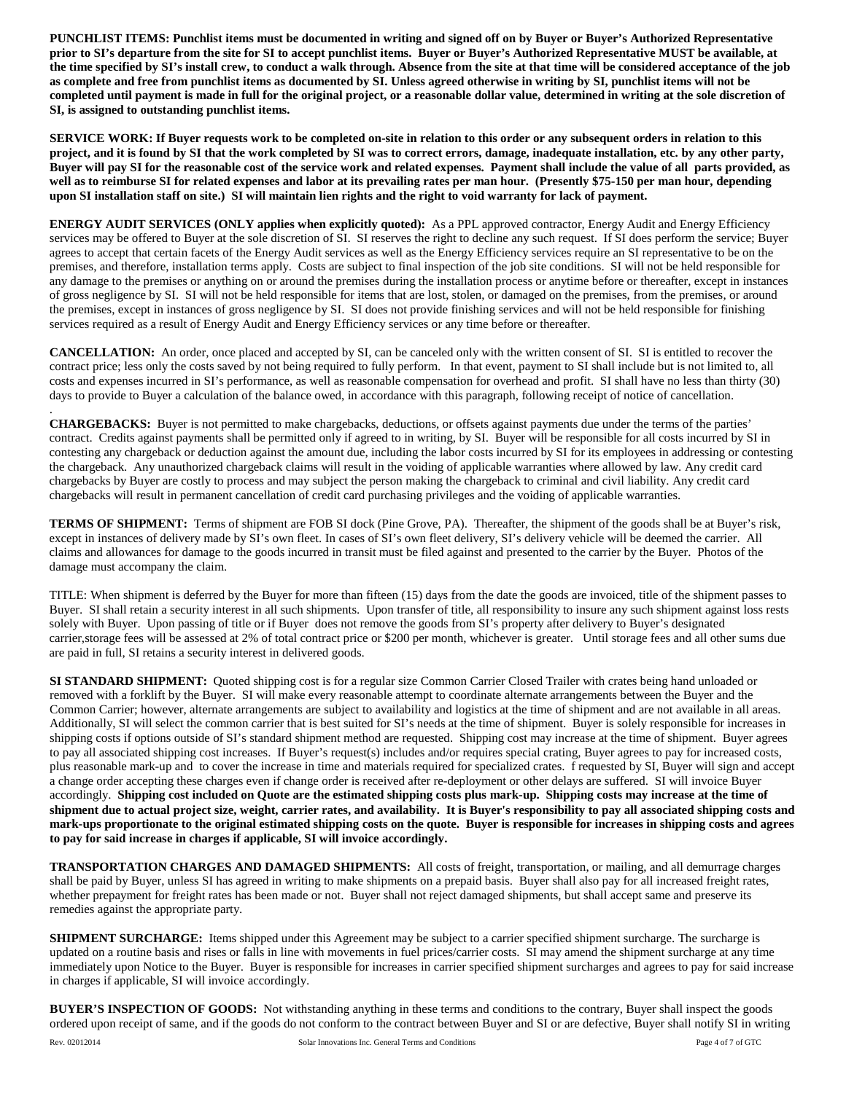**PUNCHLIST ITEMS: Punchlist items must be documented in writing and signed off on by Buyer or Buyer's Authorized Representative prior to SI's departure from the site for SI to accept punchlist items. Buyer or Buyer's Authorized Representative MUST be available, at the time specified by SI's install crew, to conduct a walk through. Absence from the site at that time will be considered acceptance of the job as complete and free from punchlist items as documented by SI. Unless agreed otherwise in writing by SI, punchlist items will not be completed until payment is made in full for the original project, or a reasonable dollar value, determined in writing at the sole discretion of SI, is assigned to outstanding punchlist items.**

**SERVICE WORK: If Buyer requests work to be completed on-site in relation to this order or any subsequent orders in relation to this project, and it is found by SI that the work completed by SI was to correct errors, damage, inadequate installation, etc. by any other party, Buyer will pay SI for the reasonable cost of the service work and related expenses. Payment shall include the value of all parts provided, as well as to reimburse SI for related expenses and labor at its prevailing rates per man hour. (Presently \$75-150 per man hour, depending upon SI installation staff on site.) SI will maintain lien rights and the right to void warranty for lack of payment.**

**ENERGY AUDIT SERVICES (ONLY applies when explicitly quoted):** As a PPL approved contractor, Energy Audit and Energy Efficiency services may be offered to Buyer at the sole discretion of SI. SI reserves the right to decline any such request. If SI does perform the service; Buyer agrees to accept that certain facets of the Energy Audit services as well as the Energy Efficiency services require an SI representative to be on the premises, and therefore, installation terms apply. Costs are subject to final inspection of the job site conditions. SI will not be held responsible for any damage to the premises or anything on or around the premises during the installation process or anytime before or thereafter, except in instances of gross negligence by SI. SI will not be held responsible for items that are lost, stolen, or damaged on the premises, from the premises, or around the premises, except in instances of gross negligence by SI. SI does not provide finishing services and will not be held responsible for finishing services required as a result of Energy Audit and Energy Efficiency services or any time before or thereafter.

**CANCELLATION:** An order, once placed and accepted by SI, can be canceled only with the written consent of SI. SI is entitled to recover the contract price; less only the costs saved by not being required to fully perform. In that event, payment to SI shall include but is not limited to, all costs and expenses incurred in SI's performance, as well as reasonable compensation for overhead and profit. SI shall have no less than thirty (30) days to provide to Buyer a calculation of the balance owed, in accordance with this paragraph, following receipt of notice of cancellation.

**CHARGEBACKS:** Buyer is not permitted to make chargebacks, deductions, or offsets against payments due under the terms of the parties' contract. Credits against payments shall be permitted only if agreed to in writing, by SI. Buyer will be responsible for all costs incurred by SI in contesting any chargeback or deduction against the amount due, including the labor costs incurred by SI for its employees in addressing or contesting the chargeback. Any unauthorized chargeback claims will result in the voiding of applicable warranties where allowed by law. Any credit card chargebacks by Buyer are costly to process and may subject the person making the chargeback to criminal and civil liability. Any credit card chargebacks will result in permanent cancellation of credit card purchasing privileges and the voiding of applicable warranties.

**TERMS OF SHIPMENT:** Terms of shipment are FOB SI dock (Pine Grove, PA). Thereafter, the shipment of the goods shall be at Buyer's risk, except in instances of delivery made by SI's own fleet. In cases of SI's own fleet delivery, SI's delivery vehicle will be deemed the carrier. All claims and allowances for damage to the goods incurred in transit must be filed against and presented to the carrier by the Buyer. Photos of the damage must accompany the claim.

TITLE: When shipment is deferred by the Buyer for more than fifteen (15) days from the date the goods are invoiced, title of the shipment passes to Buyer. SI shall retain a security interest in all such shipments. Upon transfer of title, all responsibility to insure any such shipment against loss rests solely with Buyer. Upon passing of title or if Buyer does not remove the goods from SI's property after delivery to Buyer's designated carrier,storage fees will be assessed at 2% of total contract price or \$200 per month, whichever is greater. Until storage fees and all other sums due are paid in full, SI retains a security interest in delivered goods.

**SI STANDARD SHIPMENT:** Quoted shipping cost is for a regular size Common Carrier Closed Trailer with crates being hand unloaded or removed with a forklift by the Buyer. SI will make every reasonable attempt to coordinate alternate arrangements between the Buyer and the Common Carrier; however, alternate arrangements are subject to availability and logistics at the time of shipment and are not available in all areas. Additionally, SI will select the common carrier that is best suited for SI's needs at the time of shipment. Buyer is solely responsible for increases in shipping costs if options outside of SI's standard shipment method are requested. Shipping cost may increase at the time of shipment. Buyer agrees to pay all associated shipping cost increases. If Buyer's request(s) includes and/or requires special crating, Buyer agrees to pay for increased costs, plus reasonable mark-up and to cover the increase in time and materials required for specialized crates. f requested by SI, Buyer will sign and accept a change order accepting these charges even if change order is received after re-deployment or other delays are suffered. SI will invoice Buyer accordingly. **Shipping cost included on Quote are the estimated shipping costs plus mark-up. Shipping costs may increase at the time of shipment due to actual project size, weight, carrier rates, and availability. It is Buyer's responsibility to pay all associated shipping costs and mark-ups proportionate to the original estimated shipping costs on the quote. Buyer is responsible for increases in shipping costs and agrees to pay for said increase in charges if applicable, SI will invoice accordingly.**

**TRANSPORTATION CHARGES AND DAMAGED SHIPMENTS:** All costs of freight, transportation, or mailing, and all demurrage charges shall be paid by Buyer, unless SI has agreed in writing to make shipments on a prepaid basis. Buyer shall also pay for all increased freight rates, whether prepayment for freight rates has been made or not. Buyer shall not reject damaged shipments, but shall accept same and preserve its remedies against the appropriate party.

**SHIPMENT SURCHARGE:** Items shipped under this Agreement may be subject to a carrier specified shipment surcharge. The surcharge is updated on a routine basis and rises or falls in line with movements in fuel prices/carrier costs. SI may amend the shipment surcharge at any time immediately upon Notice to the Buyer. Buyer is responsible for increases in carrier specified shipment surcharges and agrees to pay for said increase in charges if applicable, SI will invoice accordingly.

**BUYER'S INSPECTION OF GOODS:** Not withstanding anything in these terms and conditions to the contrary, Buyer shall inspect the goods ordered upon receipt of same, and if the goods do not conform to the contract between Buyer and SI or are defective, Buyer shall notify SI in writing

.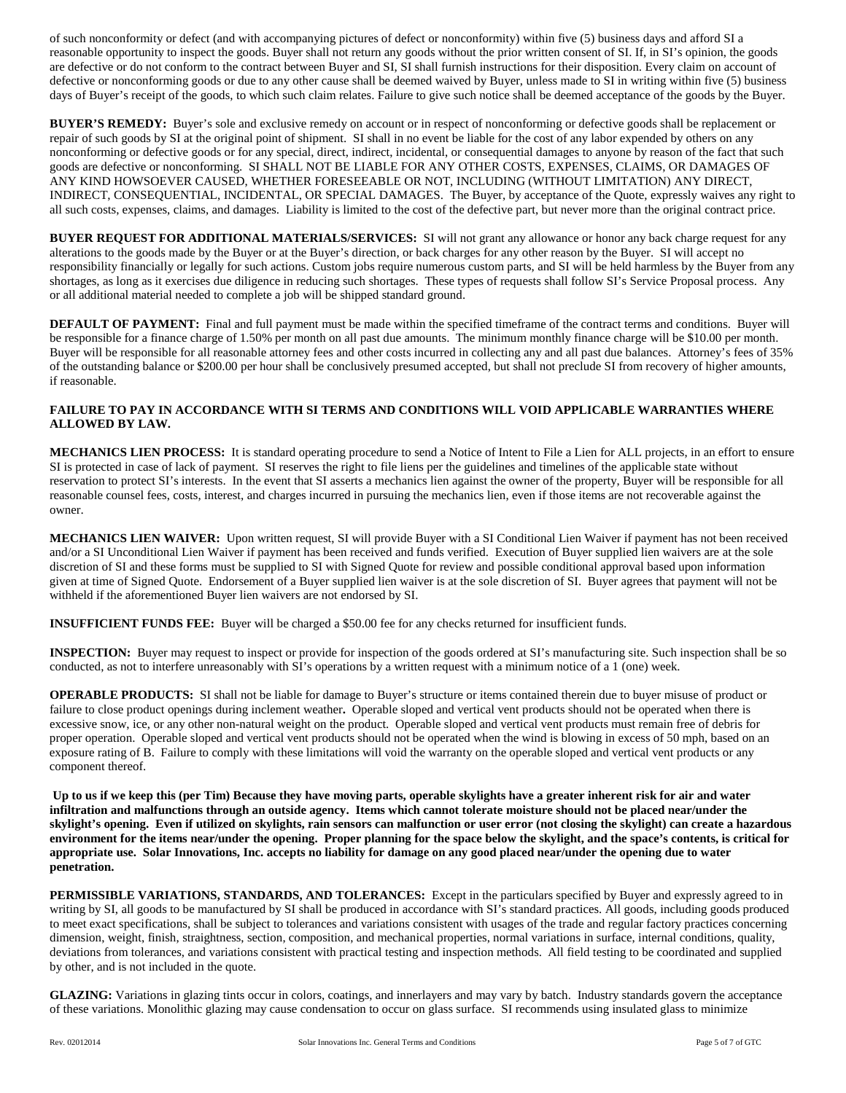of such nonconformity or defect (and with accompanying pictures of defect or nonconformity) within five (5) business days and afford SI a reasonable opportunity to inspect the goods. Buyer shall not return any goods without the prior written consent of SI. If, in SI's opinion, the goods are defective or do not conform to the contract between Buyer and SI, SI shall furnish instructions for their disposition. Every claim on account of defective or nonconforming goods or due to any other cause shall be deemed waived by Buyer, unless made to SI in writing within five (5) business days of Buyer's receipt of the goods, to which such claim relates. Failure to give such notice shall be deemed acceptance of the goods by the Buyer.

**BUYER'S REMEDY:** Buyer's sole and exclusive remedy on account or in respect of nonconforming or defective goods shall be replacement or repair of such goods by SI at the original point of shipment. SI shall in no event be liable for the cost of any labor expended by others on any nonconforming or defective goods or for any special, direct, indirect, incidental, or consequential damages to anyone by reason of the fact that such goods are defective or nonconforming. SI SHALL NOT BE LIABLE FOR ANY OTHER COSTS, EXPENSES, CLAIMS, OR DAMAGES OF ANY KIND HOWSOEVER CAUSED, WHETHER FORESEEABLE OR NOT, INCLUDING (WITHOUT LIMITATION) ANY DIRECT, INDIRECT, CONSEQUENTIAL, INCIDENTAL, OR SPECIAL DAMAGES. The Buyer, by acceptance of the Quote, expressly waives any right to all such costs, expenses, claims, and damages. Liability is limited to the cost of the defective part, but never more than the original contract price.

**BUYER REQUEST FOR ADDITIONAL MATERIALS/SERVICES:** SI will not grant any allowance or honor any back charge request for any alterations to the goods made by the Buyer or at the Buyer's direction, or back charges for any other reason by the Buyer. SI will accept no responsibility financially or legally for such actions. Custom jobs require numerous custom parts, and SI will be held harmless by the Buyer from any shortages, as long as it exercises due diligence in reducing such shortages. These types of requests shall follow SI's Service Proposal process. Any or all additional material needed to complete a job will be shipped standard ground.

**DEFAULT OF PAYMENT:** Final and full payment must be made within the specified timeframe of the contract terms and conditions. Buyer will be responsible for a finance charge of 1.50% per month on all past due amounts. The minimum monthly finance charge will be \$10.00 per month. Buyer will be responsible for all reasonable attorney fees and other costs incurred in collecting any and all past due balances. Attorney's fees of 35% of the outstanding balance or \$200.00 per hour shall be conclusively presumed accepted, but shall not preclude SI from recovery of higher amounts, if reasonable.

## **FAILURE TO PAY IN ACCORDANCE WITH SI TERMS AND CONDITIONS WILL VOID APPLICABLE WARRANTIES WHERE ALLOWED BY LAW.**

**MECHANICS LIEN PROCESS:** It is standard operating procedure to send a Notice of Intent to File a Lien for ALL projects, in an effort to ensure SI is protected in case of lack of payment. SI reserves the right to file liens per the guidelines and timelines of the applicable state without reservation to protect SI's interests. In the event that SI asserts a mechanics lien against the owner of the property, Buyer will be responsible for all reasonable counsel fees, costs, interest, and charges incurred in pursuing the mechanics lien, even if those items are not recoverable against the owner.

**MECHANICS LIEN WAIVER:** Upon written request, SI will provide Buyer with a SI Conditional Lien Waiver if payment has not been received and/or a SI Unconditional Lien Waiver if payment has been received and funds verified. Execution of Buyer supplied lien waivers are at the sole discretion of SI and these forms must be supplied to SI with Signed Quote for review and possible conditional approval based upon information given at time of Signed Quote. Endorsement of a Buyer supplied lien waiver is at the sole discretion of SI. Buyer agrees that payment will not be withheld if the aforementioned Buyer lien waivers are not endorsed by SI.

**INSUFFICIENT FUNDS FEE:** Buyer will be charged a \$50.00 fee for any checks returned for insufficient funds.

**INSPECTION:** Buyer may request to inspect or provide for inspection of the goods ordered at SI's manufacturing site. Such inspection shall be so conducted, as not to interfere unreasonably with SI's operations by a written request with a minimum notice of a 1 (one) week.

**OPERABLE PRODUCTS:** SI shall not be liable for damage to Buyer's structure or items contained therein due to buyer misuse of product or failure to close product openings during inclement weather**.** Operable sloped and vertical vent products should not be operated when there is excessive snow, ice, or any other non-natural weight on the product. Operable sloped and vertical vent products must remain free of debris for proper operation. Operable sloped and vertical vent products should not be operated when the wind is blowing in excess of 50 mph, based on an exposure rating of B. Failure to comply with these limitations will void the warranty on the operable sloped and vertical vent products or any component thereof.

**Up to us if we keep this (per Tim) Because they have moving parts, operable skylights have a greater inherent risk for air and water infiltration and malfunctions through an outside agency. Items which cannot tolerate moisture should not be placed near/under the skylight's opening. Even if utilized on skylights, rain sensors can malfunction or user error (not closing the skylight) can create a hazardous environment for the items near/under the opening. Proper planning for the space below the skylight, and the space's contents, is critical for appropriate use. Solar Innovations, Inc. accepts no liability for damage on any good placed near/under the opening due to water penetration.**

**PERMISSIBLE VARIATIONS, STANDARDS, AND TOLERANCES:** Except in the particulars specified by Buyer and expressly agreed to in writing by SI, all goods to be manufactured by SI shall be produced in accordance with SI's standard practices. All goods, including goods produced to meet exact specifications, shall be subject to tolerances and variations consistent with usages of the trade and regular factory practices concerning dimension, weight, finish, straightness, section, composition, and mechanical properties, normal variations in surface, internal conditions, quality, deviations from tolerances, and variations consistent with practical testing and inspection methods. All field testing to be coordinated and supplied by other, and is not included in the quote.

**GLAZING:** Variations in glazing tints occur in colors, coatings, and innerlayers and may vary by batch. Industry standards govern the acceptance of these variations. Monolithic glazing may cause condensation to occur on glass surface. SI recommends using insulated glass to minimize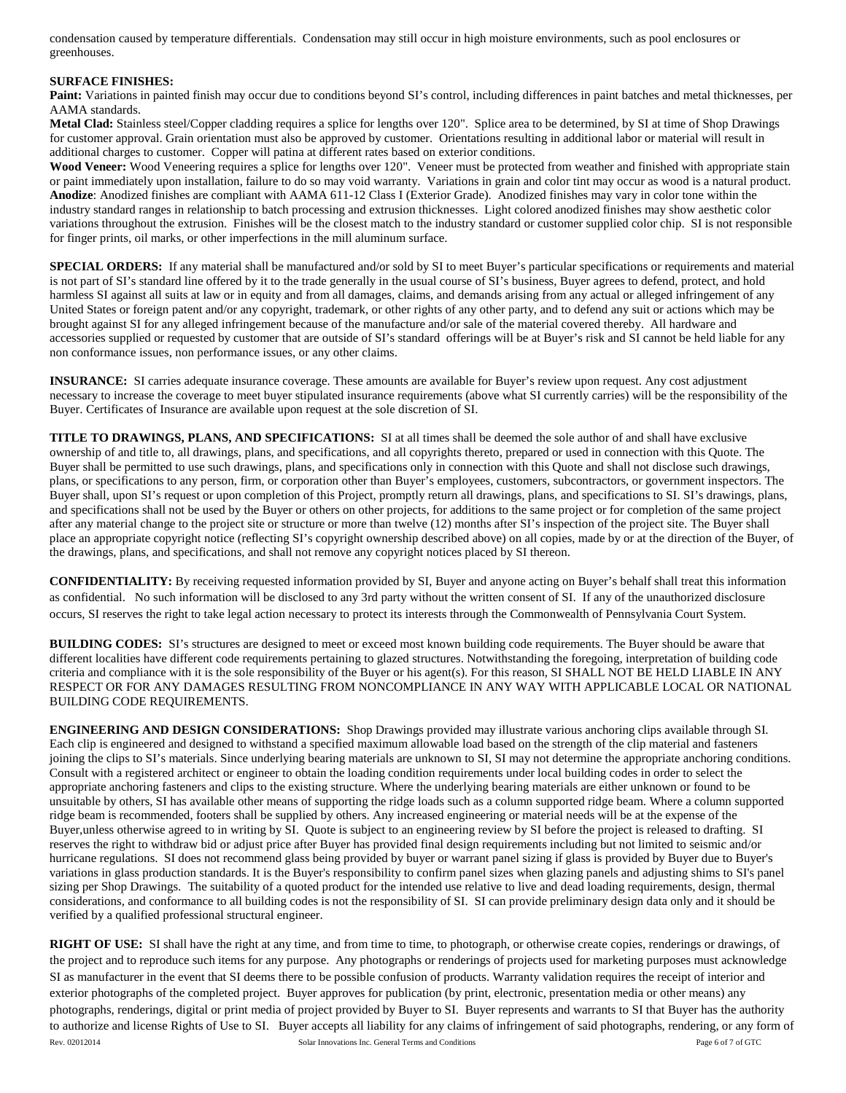condensation caused by temperature differentials. Condensation may still occur in high moisture environments, such as pool enclosures or greenhouses.

## **SURFACE FINISHES:**

Paint: Variations in painted finish may occur due to conditions beyond SI's control, including differences in paint batches and metal thicknesses, per AAMA standards.

**Metal Clad:** Stainless steel/Copper cladding requires a splice for lengths over 120". Splice area to be determined, by SI at time of Shop Drawings for customer approval. Grain orientation must also be approved by customer. Orientations resulting in additional labor or material will result in additional charges to customer. Copper will patina at different rates based on exterior conditions.

Wood Veneer: Wood Veneering requires a splice for lengths over 120". Veneer must be protected from weather and finished with appropriate stain or paint immediately upon installation, failure to do so may void warranty. Variations in grain and color tint may occur as wood is a natural product. **Anodize**: Anodized finishes are compliant with AAMA 611-12 Class I (Exterior Grade). Anodized finishes may vary in color tone within the industry standard ranges in relationship to batch processing and extrusion thicknesses. Light colored anodized finishes may show aesthetic color variations throughout the extrusion. Finishes will be the closest match to the industry standard or customer supplied color chip. SI is not responsible for finger prints, oil marks, or other imperfections in the mill aluminum surface.

**SPECIAL ORDERS:** If any material shall be manufactured and/or sold by SI to meet Buyer's particular specifications or requirements and material is not part of SI's standard line offered by it to the trade generally in the usual course of SI's business, Buyer agrees to defend, protect, and hold harmless SI against all suits at law or in equity and from all damages, claims, and demands arising from any actual or alleged infringement of any United States or foreign patent and/or any copyright, trademark, or other rights of any other party, and to defend any suit or actions which may be brought against SI for any alleged infringement because of the manufacture and/or sale of the material covered thereby. All hardware and accessories supplied or requested by customer that are outside of SI's standard offerings will be at Buyer's risk and SI cannot be held liable for any non conformance issues, non performance issues, or any other claims.

**INSURANCE:** SI carries adequate insurance coverage. These amounts are available for Buyer's review upon request. Any cost adjustment necessary to increase the coverage to meet buyer stipulated insurance requirements (above what SI currently carries) will be the responsibility of the Buyer. Certificates of Insurance are available upon request at the sole discretion of SI.

**TITLE TO DRAWINGS, PLANS, AND SPECIFICATIONS:** SI at all times shall be deemed the sole author of and shall have exclusive ownership of and title to, all drawings, plans, and specifications, and all copyrights thereto, prepared or used in connection with this Quote. The Buyer shall be permitted to use such drawings, plans, and specifications only in connection with this Quote and shall not disclose such drawings, plans, or specifications to any person, firm, or corporation other than Buyer's employees, customers, subcontractors, or government inspectors. The Buyer shall, upon SI's request or upon completion of this Project, promptly return all drawings, plans, and specifications to SI. SI's drawings, plans, and specifications shall not be used by the Buyer or others on other projects, for additions to the same project or for completion of the same project after any material change to the project site or structure or more than twelve (12) months after SI's inspection of the project site. The Buyer shall place an appropriate copyright notice (reflecting SI's copyright ownership described above) on all copies, made by or at the direction of the Buyer, of the drawings, plans, and specifications, and shall not remove any copyright notices placed by SI thereon.

**CONFIDENTIALITY:** By receiving requested information provided by SI, Buyer and anyone acting on Buyer's behalf shall treat this information as confidential. No such information will be disclosed to any 3rd party without the written consent of SI. If any of the unauthorized disclosure occurs, SI reserves the right to take legal action necessary to protect its interests through the Commonwealth of Pennsylvania Court System.

**BUILDING CODES:** SI's structures are designed to meet or exceed most known building code requirements. The Buyer should be aware that different localities have different code requirements pertaining to glazed structures. Notwithstanding the foregoing, interpretation of building code criteria and compliance with it is the sole responsibility of the Buyer or his agent(s). For this reason, SI SHALL NOT BE HELD LIABLE IN ANY RESPECT OR FOR ANY DAMAGES RESULTING FROM NONCOMPLIANCE IN ANY WAY WITH APPLICABLE LOCAL OR NATIONAL BUILDING CODE REQUIREMENTS.

**ENGINEERING AND DESIGN CONSIDERATIONS:** Shop Drawings provided may illustrate various anchoring clips available through SI. Each clip is engineered and designed to withstand a specified maximum allowable load based on the strength of the clip material and fasteners joining the clips to SI's materials. Since underlying bearing materials are unknown to SI, SI may not determine the appropriate anchoring conditions. Consult with a registered architect or engineer to obtain the loading condition requirements under local building codes in order to select the appropriate anchoring fasteners and clips to the existing structure. Where the underlying bearing materials are either unknown or found to be unsuitable by others, SI has available other means of supporting the ridge loads such as a column supported ridge beam. Where a column supported ridge beam is recommended, footers shall be supplied by others. Any increased engineering or material needs will be at the expense of the Buyer,unless otherwise agreed to in writing by SI. Quote is subject to an engineering review by SI before the project is released to drafting. SI reserves the right to withdraw bid or adjust price after Buyer has provided final design requirements including but not limited to seismic and/or hurricane regulations. SI does not recommend glass being provided by buyer or warrant panel sizing if glass is provided by Buyer due to Buyer's variations in glass production standards. It is the Buyer's responsibility to confirm panel sizes when glazing panels and adjusting shims to SI's panel sizing per Shop Drawings.The suitability of a quoted product for the intended use relative to live and dead loading requirements, design, thermal considerations, and conformance to all building codes is not the responsibility of SI. SI can provide preliminary design data only and it should be verified by a qualified professional structural engineer.

Rev. 02012014 **Solar Innovations Inc. General Terms and Conditions Page 6 of 7 of GTC RIGHT OF USE:** SI shall have the right at any time, and from time to time, to photograph, or otherwise create copies, renderings or drawings, of the project and to reproduce such items for any purpose. Any photographs or renderings of projects used for marketing purposes must acknowledge SI as manufacturer in the event that SI deems there to be possible confusion of products. Warranty validation requires the receipt of interior and exterior photographs of the completed project. Buyer approves for publication (by print, electronic, presentation media or other means) any photographs, renderings, digital or print media of project provided by Buyer to SI. Buyer represents and warrants to SI that Buyer has the authority to authorize and license Rights of Use to SI. Buyer accepts all liability for any claims of infringement of said photographs, rendering, or any form of